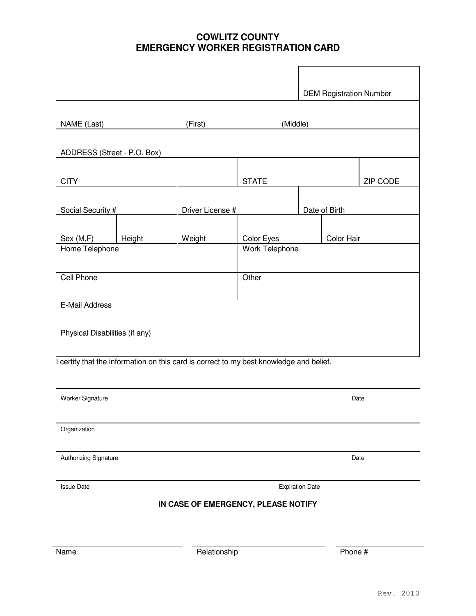## **COWLITZ COUNTY EMERGENCY WORKER REGISTRATION CARD**

|                                             |        |                                                                                         |                   |            |               | <b>DEM Registration Number</b> |  |
|---------------------------------------------|--------|-----------------------------------------------------------------------------------------|-------------------|------------|---------------|--------------------------------|--|
|                                             |        |                                                                                         |                   |            |               |                                |  |
| NAME (Last)                                 |        | (First)                                                                                 | (Middle)          |            |               |                                |  |
| ADDRESS (Street - P.O. Box)                 |        |                                                                                         |                   |            |               |                                |  |
|                                             |        |                                                                                         |                   |            |               |                                |  |
| <b>CITY</b>                                 |        |                                                                                         | <b>STATE</b>      |            |               | ZIP CODE                       |  |
|                                             |        |                                                                                         |                   |            |               |                                |  |
| Social Security #                           |        | Driver License #                                                                        |                   |            | Date of Birth |                                |  |
|                                             |        |                                                                                         |                   |            |               |                                |  |
| Sex (M,F)                                   | Height | Weight                                                                                  | <b>Color Eyes</b> | Color Hair |               |                                |  |
| Home Telephone                              |        |                                                                                         | Work Telephone    |            |               |                                |  |
|                                             |        |                                                                                         |                   |            |               |                                |  |
| Cell Phone                                  |        |                                                                                         | Other             |            |               |                                |  |
| E-Mail Address                              |        |                                                                                         |                   |            |               |                                |  |
|                                             |        |                                                                                         |                   |            |               |                                |  |
| Physical Disabilities (if any)              |        |                                                                                         |                   |            |               |                                |  |
|                                             |        |                                                                                         |                   |            |               |                                |  |
|                                             |        | I certify that the information on this card is correct to my best knowledge and belief. |                   |            |               |                                |  |
|                                             |        |                                                                                         |                   |            |               |                                |  |
| Worker Signature                            |        |                                                                                         |                   | Date       |               |                                |  |
|                                             |        |                                                                                         |                   |            |               |                                |  |
| Organization                                |        |                                                                                         |                   |            |               |                                |  |
|                                             |        |                                                                                         |                   |            |               |                                |  |
| Authorizing Signature                       |        |                                                                                         |                   |            | Date          |                                |  |
|                                             |        |                                                                                         |                   |            |               |                                |  |
| <b>Issue Date</b><br><b>Expiration Date</b> |        |                                                                                         |                   |            |               |                                |  |
|                                             |        | IN CASE OF EMERGENCY, PLEASE NOTIFY                                                     |                   |            |               |                                |  |
|                                             |        |                                                                                         |                   |            |               |                                |  |
|                                             |        |                                                                                         |                   |            |               |                                |  |
| Name                                        |        |                                                                                         | Relationship      |            | Phone #       |                                |  |